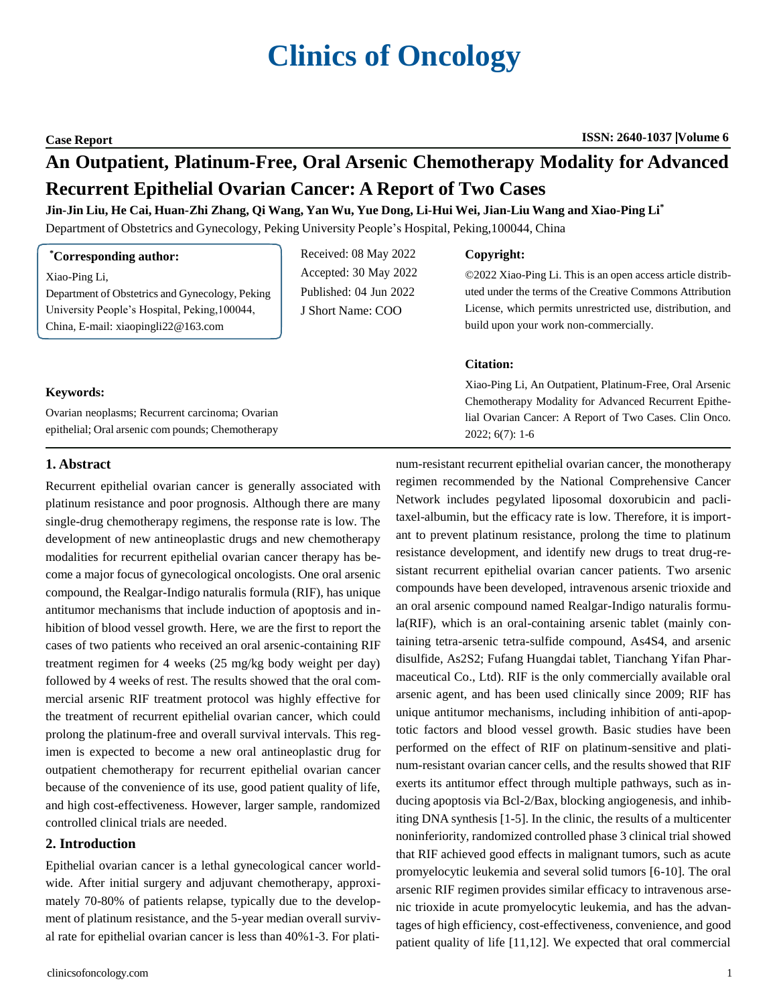# **Clinics of Oncology**

**Case Report ISSN: 2640-1037 Volume 6**

## **An Outpatient, Platinum-Free, Oral Arsenic Chemotherapy Modality for Advanced Recurrent Epithelial Ovarian Cancer: A Report of Two Cases**

#### Jin-Jin Liu, He Cai, Huan-Zhi Zhang, Qi Wang, Yan Wu, Yue Dong, Li-Hui Wei, Jian-Liu Wang and Xiao-Ping Li\*

Department of Obstetrics and Gynecology, Peking University People's Hospital, Peking,100044, China

| *Corresponding author: |  |
|------------------------|--|
|------------------------|--|

Xiao-Ping Li,

Department of Obstetrics and Gynecology, Peking University People's Hospital, Peking,100044, China, E-mail: [xiaopingli22@163.com](mailto:xiaopingli22@163.com)

Received: 08 May 2022 Accepted: 30 May 2022 Published: 04 Jun 2022 J Short Name: COO

#### **Copyright:**

©2022 Xiao-Ping Li. This is an open access article distributed under the terms of the Creative Commons Attribution License, which permits unrestricted use, distribution, and build upon your work non-commercially.

#### **Citation:**

Xiao-Ping Li, An Outpatient, Platinum-Free, Oral Arsenic Chemotherapy Modality for Advanced Recurrent Epithelial Ovarian Cancer: A Report of Two Cases. Clin Onco. 2022; 6(7): 1-6

#### **Keywords:**

Ovarian neoplasms; Recurrent carcinoma; Ovarian epithelial; Oral arsenic com pounds; Chemotherapy

#### **1. Abstract**

Recurrent epithelial ovarian cancer is generally associated with platinum resistance and poor prognosis. Although there are many single-drug chemotherapy regimens, the response rate is low. The development of new antineoplastic drugs and new chemotherapy modalities for recurrent epithelial ovarian cancer therapy has become a major focus of gynecological oncologists. One oral arsenic compound, the Realgar-Indigo naturalis formula (RIF), has unique antitumor mechanisms that include induction of apoptosis and inhibition of blood vessel growth. Here, we are the first to report the cases of two patients who received an oral arsenic-containing RIF treatment regimen for 4 weeks (25 mg/kg body weight per day) followed by 4 weeks of rest. The results showed that the oral commercial arsenic RIF treatment protocol was highly effective for the treatment of recurrent epithelial ovarian cancer, which could prolong the platinum-free and overall survival intervals. This regimen is expected to become a new oral antineoplastic drug for outpatient chemotherapy for recurrent epithelial ovarian cancer because of the convenience of its use, good patient quality of life, and high cost-effectiveness. However, larger sample, randomized controlled clinical trials are needed.

### **2. Introduction**

Epithelial ovarian cancer is a lethal gynecological cancer worldwide. After initial surgery and adjuvant chemotherapy, approximately 70-80% of patients relapse, typically due to the development of platinum resistance, and the 5-year median overall survival rate for epithelial ovarian cancer is less than 40%1-3. For plati-

num-resistant recurrent epithelial ovarian cancer, the monotherapy regimen recommended by the National Comprehensive Cancer Network includes pegylated liposomal doxorubicin and paclitaxel-albumin, but the efficacy rate is low. Therefore, it is important to prevent platinum resistance, prolong the time to platinum resistance development, and identify new drugs to treat drug-resistant recurrent epithelial ovarian cancer patients. Two arsenic compounds have been developed, intravenous arsenic trioxide and an oral arsenic compound named Realgar-Indigo naturalis formula(RIF), which is an oral-containing arsenic tablet (mainly containing tetra-arsenic tetra-sulfide compound, As4S4, and arsenic disulfide, As2S2; Fufang Huangdai tablet, Tianchang Yifan Pharmaceutical Co., Ltd). RIF is the only commercially available oral arsenic agent, and has been used clinically since 2009; RIF has unique antitumor mechanisms, including inhibition of anti-apoptotic factors and blood vessel growth. Basic studies have been performed on the effect of RIF on platinum-sensitive and platinum-resistant ovarian cancer cells, and the results showed that RIF exerts its antitumor effect through multiple pathways, such as inducing apoptosis via Bcl-2/Bax, blocking angiogenesis, and inhibiting DNA synthesis [1-5]. In the clinic, the results of a multicenter noninferiority, randomized controlled phase 3 clinical trial showed that RIF achieved good effects in malignant tumors, such as acute promyelocytic leukemia and several solid tumors [6-10]. The oral arsenic RIF regimen provides similar efficacy to intravenous arsenic trioxide in acute promyelocytic leukemia, and has the advantages of high efficiency, cost-effectiveness, convenience, and good patient quality of life [11,12]. We expected that oral commercial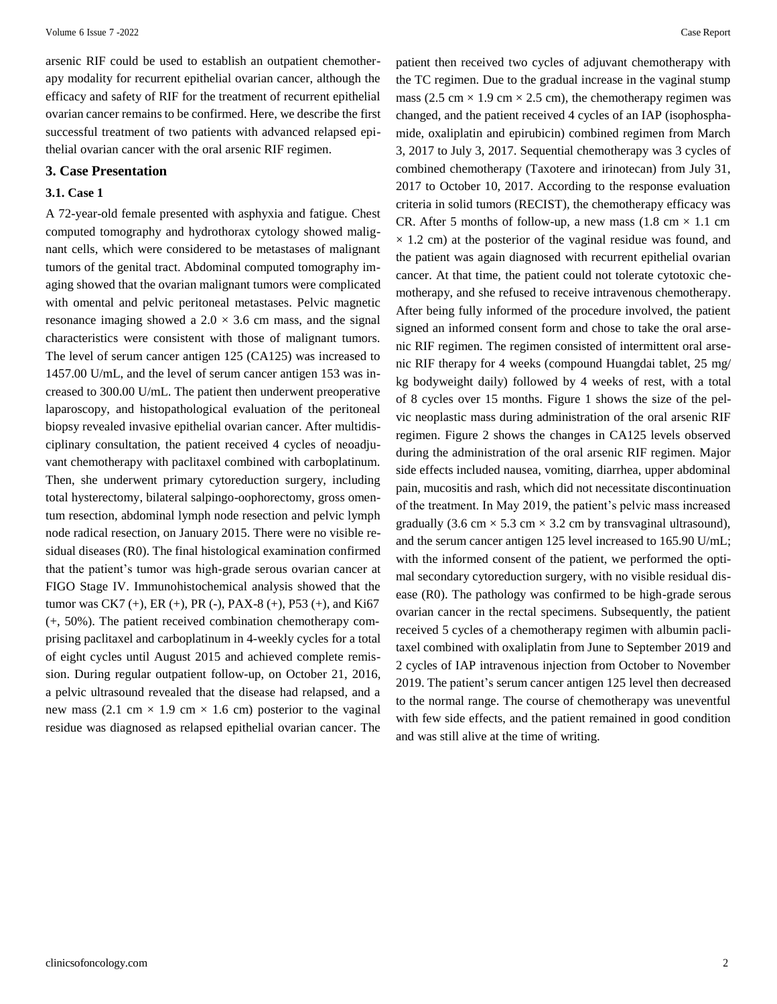arsenic RIF could be used to establish an outpatient chemotherapy modality for recurrent epithelial ovarian cancer, although the efficacy and safety of RIF for the treatment of recurrent epithelial ovarian cancer remains to be confirmed. Here, we describe the first successful treatment of two patients with advanced relapsed epithelial ovarian cancer with the oral arsenic RIF regimen.

#### **3. Case Presentation**

#### **3.1. Case 1**

A 72-year-old female presented with asphyxia and fatigue. Chest computed tomography and hydrothorax cytology showed malignant cells, which were considered to be metastases of malignant tumors of the genital tract. Abdominal computed tomography imaging showed that the ovarian malignant tumors were complicated with omental and pelvic peritoneal metastases. Pelvic magnetic resonance imaging showed a  $2.0 \times 3.6$  cm mass, and the signal characteristics were consistent with those of malignant tumors. The level of serum cancer antigen 125 (CA125) was increased to 1457.00 U/mL, and the level of serum cancer antigen 153 was increased to 300.00 U/mL. The patient then underwent preoperative laparoscopy, and histopathological evaluation of the peritoneal biopsy revealed invasive epithelial ovarian cancer. After multidisciplinary consultation, the patient received 4 cycles of neoadjuvant chemotherapy with paclitaxel combined with carboplatinum. Then, she underwent primary cytoreduction surgery, including total hysterectomy, bilateral salpingo-oophorectomy, gross omentum resection, abdominal lymph node resection and pelvic lymph node radical resection, on January 2015. There were no visible residual diseases (R0). The final histological examination confirmed that the patient's tumor was high-grade serous ovarian cancer at FIGO Stage IV. Immunohistochemical analysis showed that the tumor was CK7 (+), ER (+), PR (-), PAX-8 (+), P53 (+), and Ki67 (+, 50%). The patient received combination chemotherapy comprising paclitaxel and carboplatinum in 4-weekly cycles for a total of eight cycles until August 2015 and achieved complete remission. During regular outpatient follow-up, on October 21, 2016, a pelvic ultrasound revealed that the disease had relapsed, and a new mass (2.1 cm  $\times$  1.9 cm  $\times$  1.6 cm) posterior to the vaginal residue was diagnosed as relapsed epithelial ovarian cancer. The

patient then received two cycles of adjuvant chemotherapy with the TC regimen. Due to the gradual increase in the vaginal stump mass (2.5 cm  $\times$  1.9 cm  $\times$  2.5 cm), the chemotherapy regimen was changed, and the patient received 4 cycles of an IAP (isophosphamide, oxaliplatin and epirubicin) combined regimen from March 3, 2017 to July 3, 2017. Sequential chemotherapy was 3 cycles of combined chemotherapy (Taxotere and irinotecan) from July 31, 2017 to October 10, 2017. According to the response evaluation criteria in solid tumors (RECIST), the chemotherapy efficacy was CR. After 5 months of follow-up, a new mass  $(1.8 \text{ cm} \times 1.1 \text{ cm})$  $\times$  1.2 cm) at the posterior of the vaginal residue was found, and the patient was again diagnosed with recurrent epithelial ovarian cancer. At that time, the patient could not tolerate cytotoxic chemotherapy, and she refused to receive intravenous chemotherapy. After being fully informed of the procedure involved, the patient signed an informed consent form and chose to take the oral arsenic RIF regimen. The regimen consisted of intermittent oral arsenic RIF therapy for 4 weeks (compound Huangdai tablet, 25 mg/ kg bodyweight daily) followed by 4 weeks of rest, with a total of 8 cycles over 15 months. Figure 1 shows the size of the pelvic neoplastic mass during administration of the oral arsenic RIF regimen. Figure 2 shows the changes in CA125 levels observed during the administration of the oral arsenic RIF regimen. Major side effects included nausea, vomiting, diarrhea, upper abdominal pain, mucositis and rash, which did not necessitate discontinuation of the treatment. In May 2019, the patient's pelvic mass increased gradually (3.6 cm  $\times$  5.3 cm  $\times$  3.2 cm by transvaginal ultrasound), and the serum cancer antigen 125 level increased to 165.90 U/mL; with the informed consent of the patient, we performed the optimal secondary cytoreduction surgery, with no visible residual disease (R0). The pathology was confirmed to be high-grade serous ovarian cancer in the rectal specimens. Subsequently, the patient received 5 cycles of a chemotherapy regimen with albumin paclitaxel combined with oxaliplatin from June to September 2019 and 2 cycles of IAP intravenous injection from October to November 2019. The patient's serum cancer antigen 125 level then decreased to the normal range. The course of chemotherapy was uneventful with few side effects, and the patient remained in good condition and was still alive at the time of writing.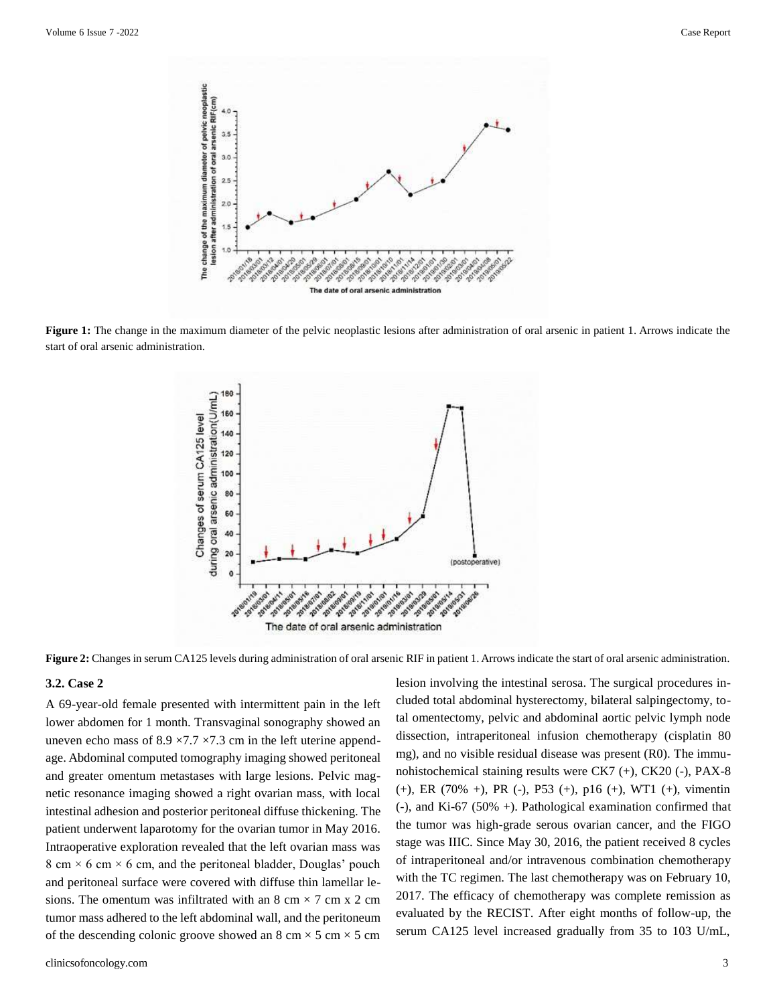

**Figure 1:** The change in the maximum diameter of the pelvic neoplastic lesions after administration of oral arsenic in patient 1. Arrows indicate the start of oral arsenic administration.



**Figure 2:** Changes in serum CA125 levels during administration of oral arsenic RIF in patient 1. Arrows indicate the start of oral arsenic administration.

#### **3.2. Case 2**

A 69-year-old female presented with intermittent pain in the left lower abdomen for 1 month. Transvaginal sonography showed an uneven echo mass of  $8.9 \times 7.7 \times 7.3$  cm in the left uterine appendage. Abdominal computed tomography imaging showed peritoneal and greater omentum metastases with large lesions. Pelvic magnetic resonance imaging showed a right ovarian mass, with local intestinal adhesion and posterior peritoneal diffuse thickening. The patient underwent laparotomy for the ovarian tumor in May 2016. Intraoperative exploration revealed that the left ovarian mass was 8 cm  $\times$  6 cm  $\times$  6 cm, and the peritoneal bladder, Douglas' pouch and peritoneal surface were covered with diffuse thin lamellar lesions. The omentum was infiltrated with an  $8 \text{ cm} \times 7 \text{ cm} \times 2 \text{ cm}$ tumor mass adhered to the left abdominal wall, and the peritoneum of the descending colonic groove showed an 8 cm  $\times$  5 cm  $\times$  5 cm

lesion involving the intestinal serosa. The surgical procedures included total abdominal hysterectomy, bilateral salpingectomy, total omentectomy, pelvic and abdominal aortic pelvic lymph node dissection, intraperitoneal infusion chemotherapy (cisplatin 80 mg), and no visible residual disease was present (R0). The immunohistochemical staining results were CK7 (+), CK20 (-), PAX-8 (+), ER (70% +), PR (-), P53 (+), p16 (+), WT1 (+), vimentin (-), and Ki-67 (50% +). Pathological examination confirmed that the tumor was high-grade serous ovarian cancer, and the FIGO stage was IIIC. Since May 30, 2016, the patient received 8 cycles of intraperitoneal and/or intravenous combination chemotherapy with the TC regimen. The last chemotherapy was on February 10, 2017. The efficacy of chemotherapy was complete remission as evaluated by the RECIST. After eight months of follow-up, the serum CA125 level increased gradually from 35 to 103 U/mL,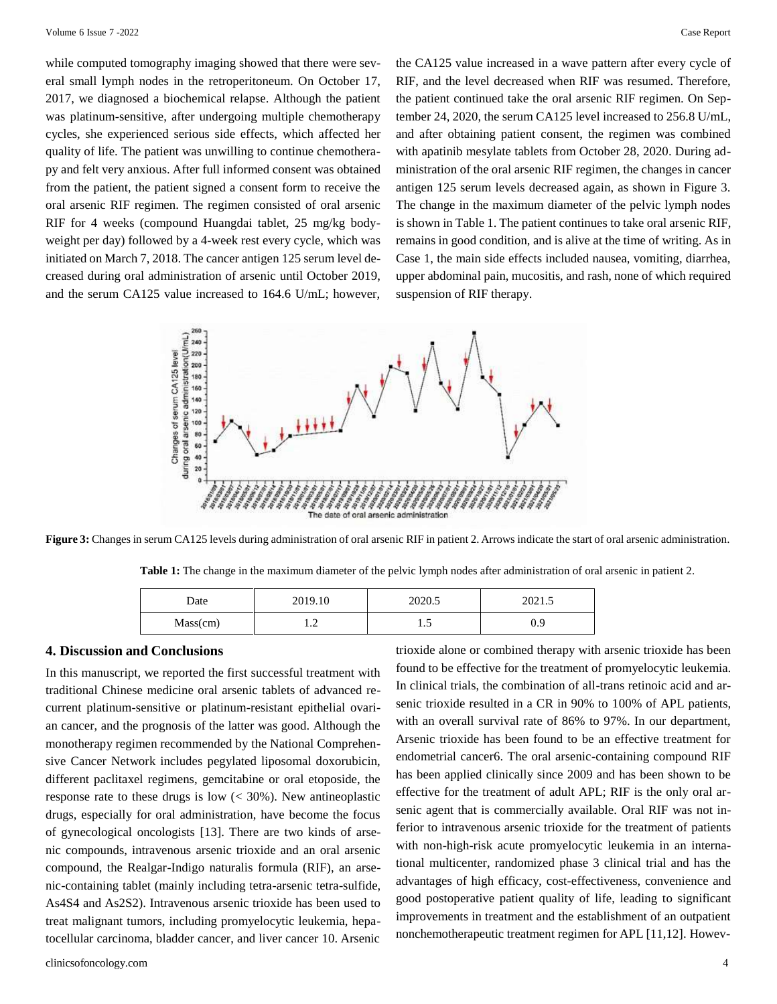while computed tomography imaging showed that there were several small lymph nodes in the retroperitoneum. On October 17, 2017, we diagnosed a biochemical relapse. Although the patient was platinum-sensitive, after undergoing multiple chemotherapy cycles, she experienced serious side effects, which affected her quality of life. The patient was unwilling to continue chemotherapy and felt very anxious. After full informed consent was obtained from the patient, the patient signed a consent form to receive the oral arsenic RIF regimen. The regimen consisted of oral arsenic RIF for 4 weeks (compound Huangdai tablet, 25 mg/kg bodyweight per day) followed by a 4-week rest every cycle, which was initiated on March 7, 2018. The cancer antigen 125 serum level decreased during oral administration of arsenic until October 2019, and the serum CA125 value increased to 164.6 U/mL; however,

the CA125 value increased in a wave pattern after every cycle of RIF, and the level decreased when RIF was resumed. Therefore, the patient continued take the oral arsenic RIF regimen. On September 24, 2020, the serum CA125 level increased to 256.8 U/mL, and after obtaining patient consent, the regimen was combined with apatinib mesylate tablets from October 28, 2020. During administration of the oral arsenic RIF regimen, the changes in cancer antigen 125 serum levels decreased again, as shown in Figure 3. The change in the maximum diameter of the pelvic lymph nodes is shown in Table 1. The patient continues to take oral arsenic RIF, remains in good condition, and is alive at the time of writing. As in Case 1, the main side effects included nausea, vomiting, diarrhea, upper abdominal pain, mucositis, and rash, none of which required suspension of RIF therapy.



**Figure 3:** Changes in serum CA125 levels during administration of oral arsenic RIF in patient 2. Arrows indicate the start of oral arsenic administration.

| Table 1: The change in the maximum diameter of the pelvic lymph nodes after administration of oral arsenic in patient 2. |  |  |  |
|--------------------------------------------------------------------------------------------------------------------------|--|--|--|
|--------------------------------------------------------------------------------------------------------------------------|--|--|--|

| Date     | 2019.10 | 2020.5 | 2021.5 |
|----------|---------|--------|--------|
| Mass(cm) | $\cdot$ | 1.J    | 0.9    |

#### **4. Discussion and Conclusions**

In this manuscript, we reported the first successful treatment with traditional Chinese medicine oral arsenic tablets of advanced recurrent platinum-sensitive or platinum-resistant epithelial ovarian cancer, and the prognosis of the latter was good. Although the monotherapy regimen recommended by the National Comprehensive Cancer Network includes pegylated liposomal doxorubicin, different paclitaxel regimens, gemcitabine or oral etoposide, the response rate to these drugs is low  $\left($  < 30%). New antineoplastic drugs, especially for oral administration, have become the focus of gynecological oncologists [13]. There are two kinds of arsenic compounds, intravenous arsenic trioxide and an oral arsenic compound, the Realgar-Indigo naturalis formula (RIF), an arsenic-containing tablet (mainly including tetra-arsenic tetra-sulfide, As4S4 and As2S2). Intravenous arsenic trioxide has been used to treat malignant tumors, including promyelocytic leukemia, hepatocellular carcinoma, bladder cancer, and liver cancer 10. Arsenic

trioxide alone or combined therapy with arsenic trioxide has been found to be effective for the treatment of promyelocytic leukemia. In clinical trials, the combination of all-trans retinoic acid and arsenic trioxide resulted in a CR in 90% to 100% of APL patients, with an overall survival rate of 86% to 97%. In our department, Arsenic trioxide has been found to be an effective treatment for endometrial cancer6. The oral arsenic-containing compound RIF has been applied clinically since 2009 and has been shown to be effective for the treatment of adult APL; RIF is the only oral arsenic agent that is commercially available. Oral RIF was not inferior to intravenous arsenic trioxide for the treatment of patients with non-high-risk acute promyelocytic leukemia in an international multicenter, randomized phase 3 clinical trial and has the advantages of high efficacy, cost-effectiveness, convenience and good postoperative patient quality of life, leading to significant improvements in treatment and the establishment of an outpatient nonchemotherapeutic treatment regimen for APL [11,12]. Howev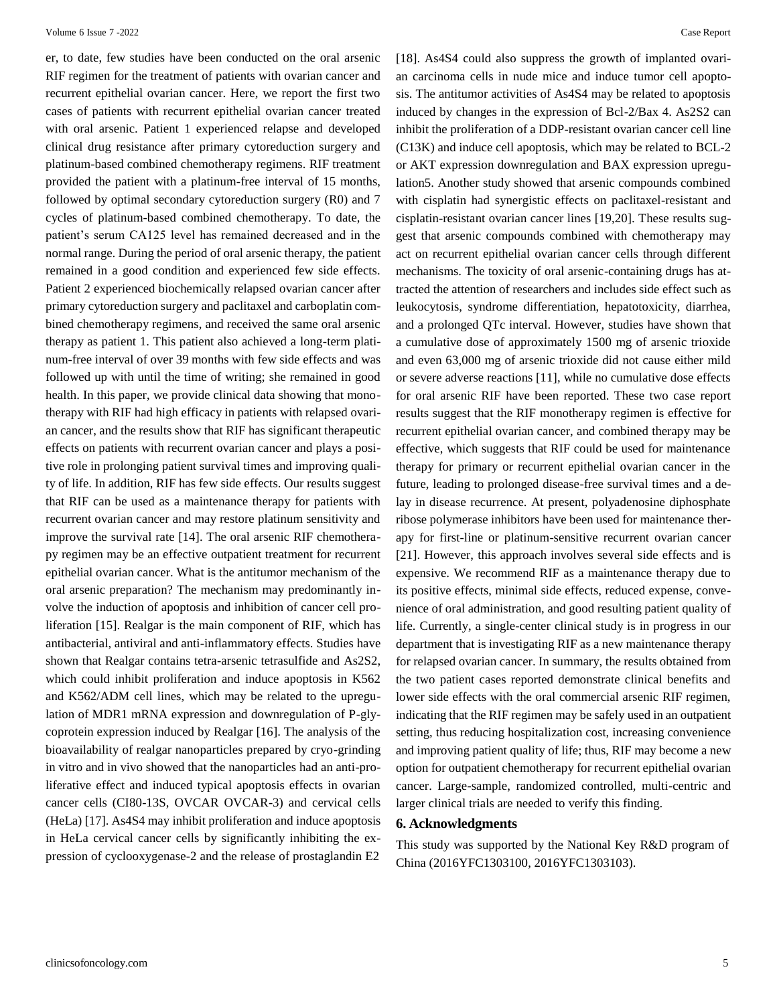er, to date, few studies have been conducted on the oral arsenic RIF regimen for the treatment of patients with ovarian cancer and recurrent epithelial ovarian cancer. Here, we report the first two cases of patients with recurrent epithelial ovarian cancer treated with oral arsenic. Patient 1 experienced relapse and developed clinical drug resistance after primary cytoreduction surgery and platinum-based combined chemotherapy regimens. RIF treatment provided the patient with a platinum-free interval of 15 months, followed by optimal secondary cytoreduction surgery (R0) and 7 cycles of platinum-based combined chemotherapy. To date, the patient's serum CA125 level has remained decreased and in the normal range. During the period of oral arsenic therapy, the patient remained in a good condition and experienced few side effects. Patient 2 experienced biochemically relapsed ovarian cancer after primary cytoreduction surgery and paclitaxel and carboplatin combined chemotherapy regimens, and received the same oral arsenic therapy as patient 1. This patient also achieved a long-term platinum-free interval of over 39 months with few side effects and was followed up with until the time of writing; she remained in good health. In this paper, we provide clinical data showing that monotherapy with RIF had high efficacy in patients with relapsed ovarian cancer, and the results show that RIF has significant therapeutic effects on patients with recurrent ovarian cancer and plays a positive role in prolonging patient survival times and improving quality of life. In addition, RIF has few side effects. Our results suggest that RIF can be used as a maintenance therapy for patients with recurrent ovarian cancer and may restore platinum sensitivity and improve the survival rate [14]. The oral arsenic RIF chemotherapy regimen may be an effective outpatient treatment for recurrent epithelial ovarian cancer. What is the antitumor mechanism of the oral arsenic preparation? The mechanism may predominantly involve the induction of apoptosis and inhibition of cancer cell proliferation [15]. Realgar is the main component of RIF, which has antibacterial, antiviral and anti-inflammatory effects. Studies have shown that Realgar contains tetra-arsenic tetrasulfide and As2S2, which could inhibit proliferation and induce apoptosis in K562 and K562/ADM cell lines, which may be related to the upregulation of MDR1 mRNA expression and downregulation of P-glycoprotein expression induced by Realgar [16]. The analysis of the bioavailability of realgar nanoparticles prepared by cryo-grinding in vitro and in vivo showed that the nanoparticles had an anti-proliferative effect and induced typical apoptosis effects in ovarian cancer cells (CI80-13S, OVCAR OVCAR-3) and cervical cells (HeLa) [17]. As4S4 may inhibit proliferation and induce apoptosis in HeLa cervical cancer cells by significantly inhibiting the expression of cyclooxygenase-2 and the release of prostaglandin E2

[18]. As4S4 could also suppress the growth of implanted ovarian carcinoma cells in nude mice and induce tumor cell apoptosis. The antitumor activities of As4S4 may be related to apoptosis induced by changes in the expression of Bcl-2/Bax 4. As2S2 can inhibit the proliferation of a DDP-resistant ovarian cancer cell line (C13K) and induce cell apoptosis, which may be related to BCL-2 or AKT expression downregulation and BAX expression upregulation5. Another study showed that arsenic compounds combined with cisplatin had synergistic effects on paclitaxel-resistant and cisplatin-resistant ovarian cancer lines [19,20]. These results suggest that arsenic compounds combined with chemotherapy may act on recurrent epithelial ovarian cancer cells through different mechanisms. The toxicity of oral arsenic-containing drugs has attracted the attention of researchers and includes side effect such as leukocytosis, syndrome differentiation, hepatotoxicity, diarrhea, and a prolonged QTc interval. However, studies have shown that a cumulative dose of approximately 1500 mg of arsenic trioxide and even 63,000 mg of arsenic trioxide did not cause either mild or severe adverse reactions [11], while no cumulative dose effects for oral arsenic RIF have been reported. These two case report results suggest that the RIF monotherapy regimen is effective for recurrent epithelial ovarian cancer, and combined therapy may be effective, which suggests that RIF could be used for maintenance therapy for primary or recurrent epithelial ovarian cancer in the future, leading to prolonged disease-free survival times and a delay in disease recurrence. At present, polyadenosine diphosphate ribose polymerase inhibitors have been used for maintenance therapy for first-line or platinum-sensitive recurrent ovarian cancer [21]. However, this approach involves several side effects and is expensive. We recommend RIF as a maintenance therapy due to its positive effects, minimal side effects, reduced expense, convenience of oral administration, and good resulting patient quality of life. Currently, a single-center clinical study is in progress in our department that is investigating RIF as a new maintenance therapy for relapsed ovarian cancer. In summary, the results obtained from the two patient cases reported demonstrate clinical benefits and lower side effects with the oral commercial arsenic RIF regimen, indicating that the RIF regimen may be safely used in an outpatient setting, thus reducing hospitalization cost, increasing convenience and improving patient quality of life; thus, RIF may become a new option for outpatient chemotherapy for recurrent epithelial ovarian cancer. Large-sample, randomized controlled, multi-centric and larger clinical trials are needed to verify this finding.

#### **6. Acknowledgments**

This study was supported by the National Key R&D program of China (2016YFC1303100, 2016YFC1303103).